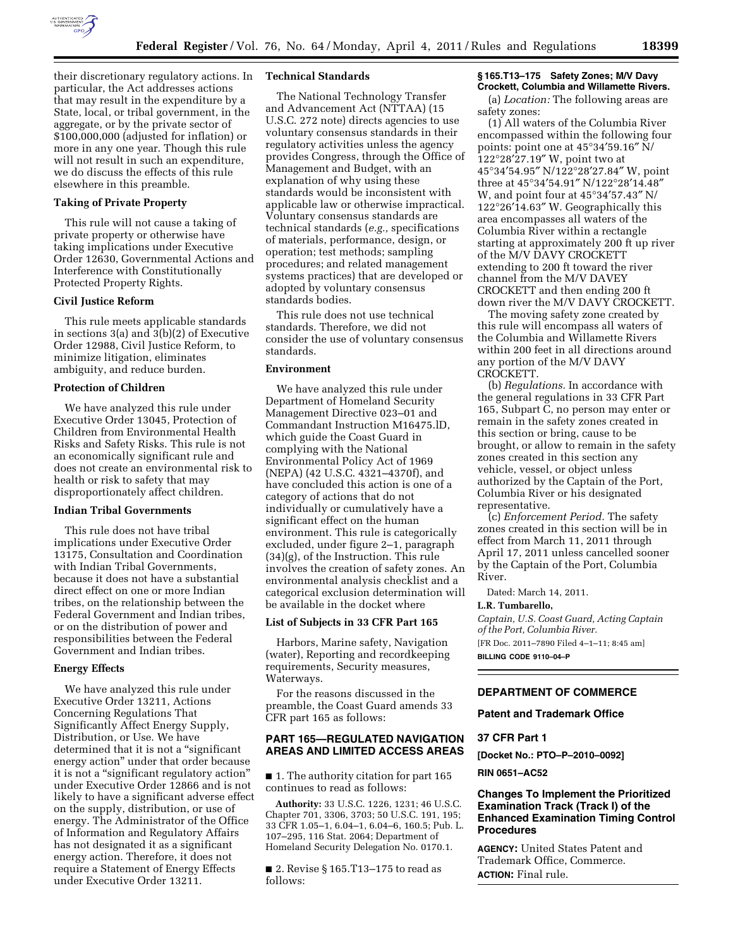

their discretionary regulatory actions. In particular, the Act addresses actions that may result in the expenditure by a State, local, or tribal government, in the aggregate, or by the private sector of \$100,000,000 (adjusted for inflation) or more in any one year. Though this rule will not result in such an expenditure, we do discuss the effects of this rule elsewhere in this preamble.

# **Taking of Private Property**

This rule will not cause a taking of private property or otherwise have taking implications under Executive Order 12630, Governmental Actions and Interference with Constitutionally Protected Property Rights.

## **Civil Justice Reform**

This rule meets applicable standards in sections 3(a) and 3(b)(2) of Executive Order 12988, Civil Justice Reform, to minimize litigation, eliminates ambiguity, and reduce burden.

### **Protection of Children**

We have analyzed this rule under Executive Order 13045, Protection of Children from Environmental Health Risks and Safety Risks. This rule is not an economically significant rule and does not create an environmental risk to health or risk to safety that may disproportionately affect children.

#### **Indian Tribal Governments**

This rule does not have tribal implications under Executive Order 13175, Consultation and Coordination with Indian Tribal Governments, because it does not have a substantial direct effect on one or more Indian tribes, on the relationship between the Federal Government and Indian tribes, or on the distribution of power and responsibilities between the Federal Government and Indian tribes.

### **Energy Effects**

We have analyzed this rule under Executive Order 13211, Actions Concerning Regulations That Significantly Affect Energy Supply, Distribution, or Use. We have determined that it is not a "significant energy action'' under that order because it is not a ''significant regulatory action'' under Executive Order 12866 and is not likely to have a significant adverse effect on the supply, distribution, or use of energy. The Administrator of the Office of Information and Regulatory Affairs has not designated it as a significant energy action. Therefore, it does not require a Statement of Energy Effects under Executive Order 13211.

#### **Technical Standards**

The National Technology Transfer and Advancement Act (NTTAA) (15 U.S.C. 272 note) directs agencies to use voluntary consensus standards in their regulatory activities unless the agency provides Congress, through the Office of Management and Budget, with an explanation of why using these standards would be inconsistent with applicable law or otherwise impractical. Voluntary consensus standards are technical standards (*e.g.,* specifications of materials, performance, design, or operation; test methods; sampling procedures; and related management systems practices) that are developed or adopted by voluntary consensus standards bodies.

This rule does not use technical standards. Therefore, we did not consider the use of voluntary consensus standards.

### **Environment**

We have analyzed this rule under Department of Homeland Security Management Directive 023–01 and Commandant Instruction M16475.lD, which guide the Coast Guard in complying with the National Environmental Policy Act of 1969 (NEPA) (42 U.S.C. 4321–4370f), and have concluded this action is one of a category of actions that do not individually or cumulatively have a significant effect on the human environment. This rule is categorically excluded, under figure 2–1, paragraph (34)(g), of the Instruction. This rule involves the creation of safety zones. An environmental analysis checklist and a categorical exclusion determination will be available in the docket where

### **List of Subjects in 33 CFR Part 165**

Harbors, Marine safety, Navigation (water), Reporting and recordkeeping requirements, Security measures, Waterways.

For the reasons discussed in the preamble, the Coast Guard amends 33 CFR part 165 as follows:

## **PART 165—REGULATED NAVIGATION AREAS AND LIMITED ACCESS AREAS**

■ 1. The authority citation for part 165 continues to read as follows:

**Authority:** 33 U.S.C. 1226, 1231; 46 U.S.C. Chapter 701, 3306, 3703; 50 U.S.C. 191, 195; 33 CFR 1.05–1, 6.04–1, 6.04–6, 160.5; Pub. L. 107–295, 116 Stat. 2064; Department of Homeland Security Delegation No. 0170.1.

■ 2. Revise § 165.T13-175 to read as follows:

### **§ 165.T13–175 Safety Zones; M/V Davy Crockett, Columbia and Willamette Rivers.**

(a) *Location:* The following areas are safety zones:

(1) All waters of the Columbia River encompassed within the following four points: point one at 45°34′59.16″ N/ 122°28′27.19″ W, point two at 45°34′54.95″ N/122°28′27.84″ W, point three at 45°34′54.91″ N/122°28′14.48″ W, and point four at 45°34′57.43″ N/ 122°26′14.63″ W. Geographically this area encompasses all waters of the Columbia River within a rectangle starting at approximately 200 ft up river of the M/V DAVY CROCKETT extending to 200 ft toward the river channel from the M/V DAVEY CROCKETT and then ending 200 ft down river the M/V DAVY CROCKETT.

The moving safety zone created by this rule will encompass all waters of the Columbia and Willamette Rivers within 200 feet in all directions around any portion of the M/V DAVY CROCKETT.

(b) *Regulations.* In accordance with the general regulations in 33 CFR Part 165, Subpart C, no person may enter or remain in the safety zones created in this section or bring, cause to be brought, or allow to remain in the safety zones created in this section any vehicle, vessel, or object unless authorized by the Captain of the Port, Columbia River or his designated representative.

(c) *Enforcement Period.* The safety zones created in this section will be in effect from March 11, 2011 through April 17, 2011 unless cancelled sooner by the Captain of the Port, Columbia River.

Dated: March 14, 2011.

**L.R. Tumbarello,**  *Captain, U.S. Coast Guard, Acting Captain of the Port, Columbia River.* 

[FR Doc. 2011–7890 Filed 4–1–11; 8:45 am] **BILLING CODE 9110–04–P** 

### **DEPARTMENT OF COMMERCE**

#### **Patent and Trademark Office**

### **37 CFR Part 1**

**[Docket No.: PTO–P–2010–0092]** 

#### **RIN 0651–AC52**

## **Changes To Implement the Prioritized Examination Track (Track I) of the Enhanced Examination Timing Control Procedures**

**AGENCY:** United States Patent and Trademark Office, Commerce. **ACTION:** Final rule.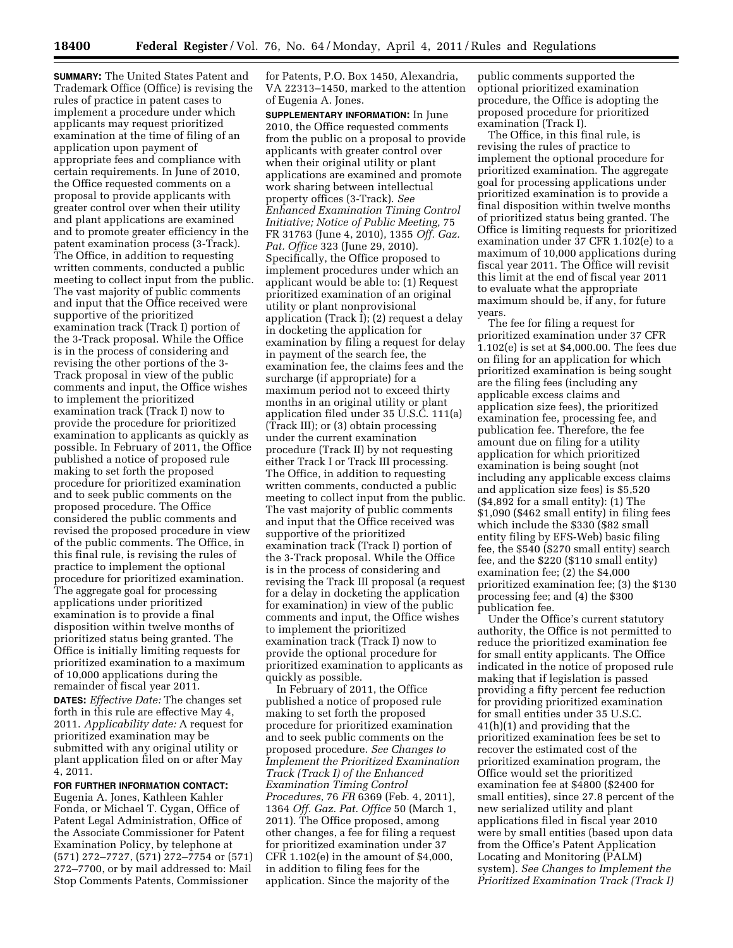**SUMMARY:** The United States Patent and Trademark Office (Office) is revising the rules of practice in patent cases to implement a procedure under which applicants may request prioritized examination at the time of filing of an application upon payment of appropriate fees and compliance with certain requirements. In June of 2010, the Office requested comments on a proposal to provide applicants with greater control over when their utility and plant applications are examined and to promote greater efficiency in the patent examination process (3-Track). The Office, in addition to requesting written comments, conducted a public meeting to collect input from the public. The vast majority of public comments and input that the Office received were supportive of the prioritized examination track (Track I) portion of the 3-Track proposal. While the Office is in the process of considering and revising the other portions of the 3- Track proposal in view of the public comments and input, the Office wishes to implement the prioritized examination track (Track I) now to provide the procedure for prioritized examination to applicants as quickly as possible. In February of 2011, the Office published a notice of proposed rule making to set forth the proposed procedure for prioritized examination and to seek public comments on the proposed procedure. The Office considered the public comments and revised the proposed procedure in view of the public comments. The Office, in this final rule, is revising the rules of practice to implement the optional procedure for prioritized examination. The aggregate goal for processing applications under prioritized examination is to provide a final disposition within twelve months of prioritized status being granted. The Office is initially limiting requests for prioritized examination to a maximum of 10,000 applications during the remainder of fiscal year 2011. **DATES:** *Effective Date:* The changes set

forth in this rule are effective May 4, 2011. *Applicability date:* A request for prioritized examination may be submitted with any original utility or plant application filed on or after May 4, 2011.

## **FOR FURTHER INFORMATION CONTACT:**

Eugenia A. Jones, Kathleen Kahler Fonda, or Michael T. Cygan, Office of Patent Legal Administration, Office of the Associate Commissioner for Patent Examination Policy, by telephone at (571) 272–7727, (571) 272–7754 or (571) 272–7700, or by mail addressed to: Mail Stop Comments Patents, Commissioner

for Patents, P.O. Box 1450, Alexandria, VA 22313–1450, marked to the attention of Eugenia A. Jones.

**SUPPLEMENTARY INFORMATION:** In June 2010, the Office requested comments from the public on a proposal to provide applicants with greater control over when their original utility or plant applications are examined and promote work sharing between intellectual property offices (3-Track). *See Enhanced Examination Timing Control Initiative; Notice of Public Meeting,* 75 FR 31763 (June 4, 2010), 1355 *Off. Gaz. Pat. Office* 323 (June 29, 2010). Specifically, the Office proposed to implement procedures under which an applicant would be able to: (1) Request prioritized examination of an original utility or plant nonprovisional application (Track I); (2) request a delay in docketing the application for examination by filing a request for delay in payment of the search fee, the examination fee, the claims fees and the surcharge (if appropriate) for a maximum period not to exceed thirty months in an original utility or plant application filed under 35 U.S.C. 111(a) (Track III); or (3) obtain processing under the current examination procedure (Track II) by not requesting either Track I or Track III processing. The Office, in addition to requesting written comments, conducted a public meeting to collect input from the public. The vast majority of public comments and input that the Office received was supportive of the prioritized examination track (Track I) portion of the 3-Track proposal. While the Office is in the process of considering and revising the Track III proposal (a request for a delay in docketing the application for examination) in view of the public comments and input, the Office wishes to implement the prioritized examination track (Track I) now to provide the optional procedure for prioritized examination to applicants as quickly as possible.

In February of 2011, the Office published a notice of proposed rule making to set forth the proposed procedure for prioritized examination and to seek public comments on the proposed procedure. *See Changes to Implement the Prioritized Examination Track (Track I) of the Enhanced Examination Timing Control Procedures,* 76 *FR* 6369 (Feb. 4, 2011), 1364 *Off. Gaz. Pat. Office* 50 (March 1, 2011). The Office proposed, among other changes, a fee for filing a request for prioritized examination under 37 CFR 1.102(e) in the amount of \$4,000, in addition to filing fees for the application. Since the majority of the

public comments supported the optional prioritized examination procedure, the Office is adopting the proposed procedure for prioritized examination (Track I).

The Office, in this final rule, is revising the rules of practice to implement the optional procedure for prioritized examination. The aggregate goal for processing applications under prioritized examination is to provide a final disposition within twelve months of prioritized status being granted. The Office is limiting requests for prioritized examination under 37 CFR 1.102(e) to a maximum of 10,000 applications during fiscal year 2011. The Office will revisit this limit at the end of fiscal year 2011 to evaluate what the appropriate maximum should be, if any, for future years.

The fee for filing a request for prioritized examination under 37 CFR 1.102(e) is set at \$4,000.00. The fees due on filing for an application for which prioritized examination is being sought are the filing fees (including any applicable excess claims and application size fees), the prioritized examination fee, processing fee, and publication fee. Therefore, the fee amount due on filing for a utility application for which prioritized examination is being sought (not including any applicable excess claims and application size fees) is \$5,520 (\$4,892 for a small entity): (1) The \$1,090 (\$462 small entity) in filing fees which include the \$330 (\$82 small entity filing by EFS-Web) basic filing fee, the \$540 (\$270 small entity) search fee, and the \$220 (\$110 small entity) examination fee; (2) the \$4,000 prioritized examination fee; (3) the \$130 processing fee; and (4) the \$300 publication fee.

Under the Office's current statutory authority, the Office is not permitted to reduce the prioritized examination fee for small entity applicants. The Office indicated in the notice of proposed rule making that if legislation is passed providing a fifty percent fee reduction for providing prioritized examination for small entities under 35 U.S.C. 41(h)(1) and providing that the prioritized examination fees be set to recover the estimated cost of the prioritized examination program, the Office would set the prioritized examination fee at \$4800 (\$2400 for small entities), since 27.8 percent of the new serialized utility and plant applications filed in fiscal year 2010 were by small entities (based upon data from the Office's Patent Application Locating and Monitoring (PALM) system). *See Changes to Implement the Prioritized Examination Track (Track I)*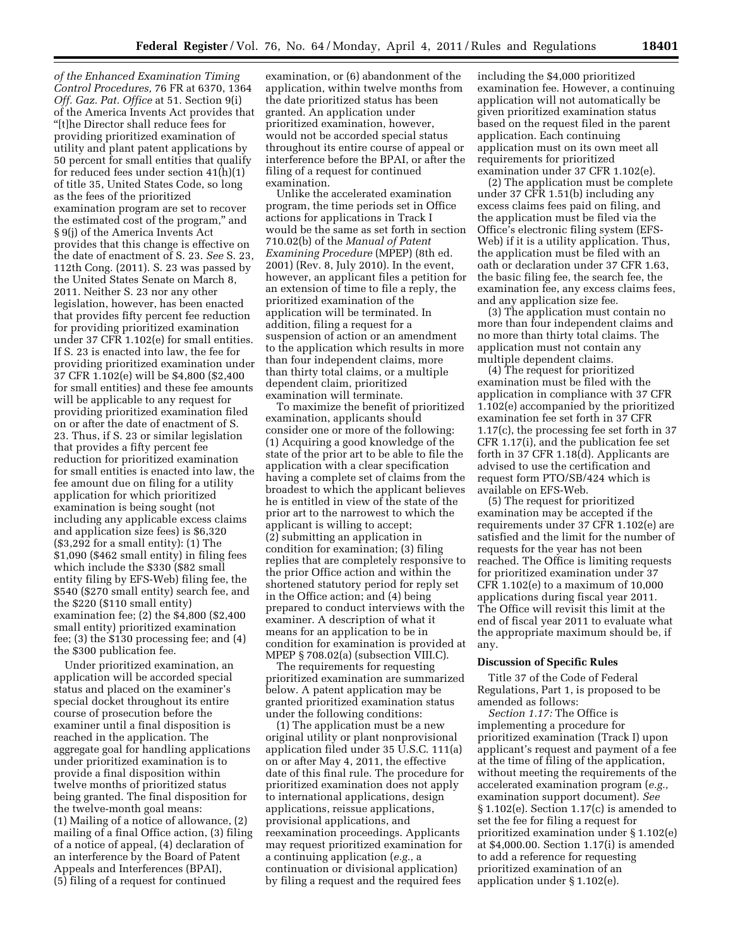*of the Enhanced Examination Timing Control Procedures,* 76 FR at 6370, 1364 *Off. Gaz. Pat. Office* at 51. Section 9(i) of the America Invents Act provides that ''[t]he Director shall reduce fees for providing prioritized examination of utility and plant patent applications by 50 percent for small entities that qualify for reduced fees under section 41(h)(1) of title 35, United States Code, so long as the fees of the prioritized examination program are set to recover the estimated cost of the program,'' and § 9(j) of the America Invents Act provides that this change is effective on the date of enactment of S. 23. *See* S. 23, 112th Cong. (2011). S. 23 was passed by the United States Senate on March 8, 2011. Neither S. 23 nor any other legislation, however, has been enacted that provides fifty percent fee reduction for providing prioritized examination under 37 CFR 1.102(e) for small entities. If S. 23 is enacted into law, the fee for providing prioritized examination under 37 CFR 1.102(e) will be \$4,800 (\$2,400 for small entities) and these fee amounts will be applicable to any request for providing prioritized examination filed on or after the date of enactment of S. 23. Thus, if S. 23 or similar legislation that provides a fifty percent fee reduction for prioritized examination for small entities is enacted into law, the fee amount due on filing for a utility application for which prioritized examination is being sought (not including any applicable excess claims and application size fees) is \$6,320 (\$3,292 for a small entity): (1) The \$1,090 (\$462 small entity) in filing fees which include the \$330 (\$82 small entity filing by EFS-Web) filing fee, the \$540 (\$270 small entity) search fee, and the \$220 (\$110 small entity) examination fee; (2) the \$4,800 (\$2,400 small entity) prioritized examination fee; (3) the \$130 processing fee; and (4) the \$300 publication fee.

Under prioritized examination, an application will be accorded special status and placed on the examiner's special docket throughout its entire course of prosecution before the examiner until a final disposition is reached in the application. The aggregate goal for handling applications under prioritized examination is to provide a final disposition within twelve months of prioritized status being granted. The final disposition for the twelve-month goal means: (1) Mailing of a notice of allowance, (2) mailing of a final Office action, (3) filing of a notice of appeal, (4) declaration of an interference by the Board of Patent Appeals and Interferences (BPAI), (5) filing of a request for continued

examination, or (6) abandonment of the application, within twelve months from the date prioritized status has been granted. An application under prioritized examination, however, would not be accorded special status throughout its entire course of appeal or interference before the BPAI, or after the filing of a request for continued examination.

Unlike the accelerated examination program, the time periods set in Office actions for applications in Track I would be the same as set forth in section 710.02(b) of the *Manual of Patent Examining Procedure* (MPEP) (8th ed. 2001) (Rev. 8, July 2010). In the event, however, an applicant files a petition for an extension of time to file a reply, the prioritized examination of the application will be terminated. In addition, filing a request for a suspension of action or an amendment to the application which results in more than four independent claims, more than thirty total claims, or a multiple dependent claim, prioritized examination will terminate.

To maximize the benefit of prioritized examination, applicants should consider one or more of the following: (1) Acquiring a good knowledge of the state of the prior art to be able to file the application with a clear specification having a complete set of claims from the broadest to which the applicant believes he is entitled in view of the state of the prior art to the narrowest to which the applicant is willing to accept; (2) submitting an application in condition for examination; (3) filing replies that are completely responsive to the prior Office action and within the shortened statutory period for reply set in the Office action; and (4) being prepared to conduct interviews with the examiner. A description of what it means for an application to be in condition for examination is provided at MPEP § 708.02(a) (subsection VIII.C).

The requirements for requesting prioritized examination are summarized below. A patent application may be granted prioritized examination status under the following conditions:

(1) The application must be a new original utility or plant nonprovisional application filed under 35 U.S.C. 111(a) on or after May 4, 2011, the effective date of this final rule. The procedure for prioritized examination does not apply to international applications, design applications, reissue applications, provisional applications, and reexamination proceedings. Applicants may request prioritized examination for a continuing application (*e.g.,* a continuation or divisional application) by filing a request and the required fees

including the \$4,000 prioritized examination fee. However, a continuing application will not automatically be given prioritized examination status based on the request filed in the parent application. Each continuing application must on its own meet all requirements for prioritized examination under 37 CFR 1.102(e).

(2) The application must be complete under 37 CFR 1.51(b) including any excess claims fees paid on filing, and the application must be filed via the Office's electronic filing system (EFS-Web) if it is a utility application. Thus, the application must be filed with an oath or declaration under 37 CFR 1.63, the basic filing fee, the search fee, the examination fee, any excess claims fees, and any application size fee.

(3) The application must contain no more than four independent claims and no more than thirty total claims. The application must not contain any multiple dependent claims.

(4) The request for prioritized examination must be filed with the application in compliance with 37 CFR 1.102(e) accompanied by the prioritized examination fee set forth in 37 CFR 1.17(c), the processing fee set forth in 37 CFR 1.17(i), and the publication fee set forth in 37 CFR 1.18(d). Applicants are advised to use the certification and request form PTO/SB/424 which is available on EFS-Web.

(5) The request for prioritized examination may be accepted if the requirements under 37 CFR 1.102(e) are satisfied and the limit for the number of requests for the year has not been reached. The Office is limiting requests for prioritized examination under 37 CFR 1.102(e) to a maximum of 10,000 applications during fiscal year 2011. The Office will revisit this limit at the end of fiscal year 2011 to evaluate what the appropriate maximum should be, if any.

### **Discussion of Specific Rules**

Title 37 of the Code of Federal Regulations, Part 1, is proposed to be amended as follows:

*Section 1.17:* The Office is implementing a procedure for prioritized examination (Track I) upon applicant's request and payment of a fee at the time of filing of the application, without meeting the requirements of the accelerated examination program (*e.g.,*  examination support document). *See*  § 1.102(e). Section 1.17(c) is amended to set the fee for filing a request for prioritized examination under § 1.102(e) at \$4,000.00. Section 1.17(i) is amended to add a reference for requesting prioritized examination of an application under § 1.102(e).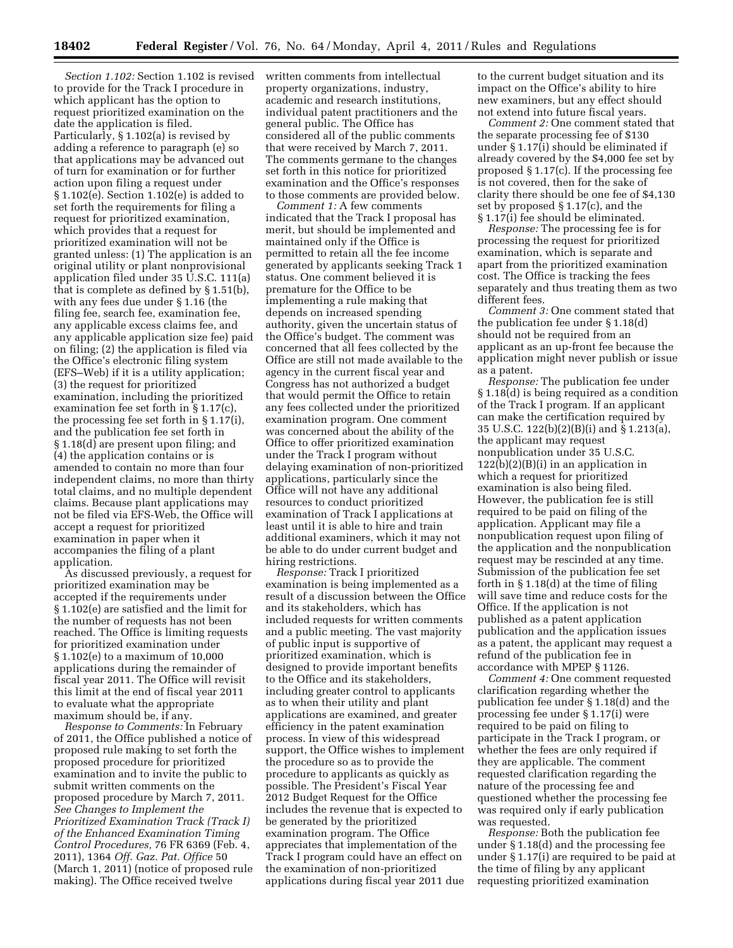*Section 1.102:* Section 1.102 is revised to provide for the Track I procedure in which applicant has the option to request prioritized examination on the date the application is filed. Particularly, § 1.102(a) is revised by adding a reference to paragraph (e) so that applications may be advanced out of turn for examination or for further action upon filing a request under § 1.102(e). Section 1.102(e) is added to set forth the requirements for filing a request for prioritized examination, which provides that a request for prioritized examination will not be granted unless: (1) The application is an original utility or plant nonprovisional application filed under 35 U.S.C. 111(a) that is complete as defined by § 1.51(b), with any fees due under § 1.16 (the filing fee, search fee, examination fee, any applicable excess claims fee, and any applicable application size fee) paid on filing; (2) the application is filed via the Office's electronic filing system (EFS–Web) if it is a utility application; (3) the request for prioritized examination, including the prioritized examination fee set forth in § 1.17(c), the processing fee set forth in § 1.17(i), and the publication fee set forth in § 1.18(d) are present upon filing; and (4) the application contains or is amended to contain no more than four independent claims, no more than thirty total claims, and no multiple dependent claims. Because plant applications may not be filed via EFS-Web, the Office will accept a request for prioritized examination in paper when it accompanies the filing of a plant application.

As discussed previously, a request for prioritized examination may be accepted if the requirements under § 1.102(e) are satisfied and the limit for the number of requests has not been reached. The Office is limiting requests for prioritized examination under § 1.102(e) to a maximum of 10,000 applications during the remainder of fiscal year 2011. The Office will revisit this limit at the end of fiscal year 2011 to evaluate what the appropriate maximum should be, if any.

*Response to Comments:* In February of 2011, the Office published a notice of proposed rule making to set forth the proposed procedure for prioritized examination and to invite the public to submit written comments on the proposed procedure by March 7, 2011. *See Changes to Implement the Prioritized Examination Track (Track I) of the Enhanced Examination Timing Control Procedures,* 76 FR 6369 (Feb. 4, 2011), 1364 *Off. Gaz. Pat. Office* 50 (March 1, 2011) (notice of proposed rule making). The Office received twelve

written comments from intellectual property organizations, industry, academic and research institutions, individual patent practitioners and the general public. The Office has considered all of the public comments that were received by March 7, 2011. The comments germane to the changes set forth in this notice for prioritized examination and the Office's responses to those comments are provided below.

*Comment 1:* A few comments indicated that the Track I proposal has merit, but should be implemented and maintained only if the Office is permitted to retain all the fee income generated by applicants seeking Track 1 status. One comment believed it is premature for the Office to be implementing a rule making that depends on increased spending authority, given the uncertain status of the Office's budget. The comment was concerned that all fees collected by the Office are still not made available to the agency in the current fiscal year and Congress has not authorized a budget that would permit the Office to retain any fees collected under the prioritized examination program. One comment was concerned about the ability of the Office to offer prioritized examination under the Track I program without delaying examination of non-prioritized applications, particularly since the Office will not have any additional resources to conduct prioritized examination of Track I applications at least until it is able to hire and train additional examiners, which it may not be able to do under current budget and hiring restrictions.

*Response:* Track I prioritized examination is being implemented as a result of a discussion between the Office and its stakeholders, which has included requests for written comments and a public meeting. The vast majority of public input is supportive of prioritized examination, which is designed to provide important benefits to the Office and its stakeholders, including greater control to applicants as to when their utility and plant applications are examined, and greater efficiency in the patent examination process. In view of this widespread support, the Office wishes to implement the procedure so as to provide the procedure to applicants as quickly as possible. The President's Fiscal Year 2012 Budget Request for the Office includes the revenue that is expected to be generated by the prioritized examination program. The Office appreciates that implementation of the Track I program could have an effect on the examination of non-prioritized applications during fiscal year 2011 due

to the current budget situation and its impact on the Office's ability to hire new examiners, but any effect should not extend into future fiscal years.

*Comment 2:* One comment stated that the separate processing fee of \$130 under § 1.17(i) should be eliminated if already covered by the \$4,000 fee set by proposed § 1.17(c). If the processing fee is not covered, then for the sake of clarity there should be one fee of \$4,130 set by proposed § 1.17(c), and the § 1.17(i) fee should be eliminated.

*Response:* The processing fee is for processing the request for prioritized examination, which is separate and apart from the prioritized examination cost. The Office is tracking the fees separately and thus treating them as two different fees.

*Comment 3:* One comment stated that the publication fee under § 1.18(d) should not be required from an applicant as an up-front fee because the application might never publish or issue as a patent.

*Response:* The publication fee under § 1.18(d) is being required as a condition of the Track I program. If an applicant can make the certification required by 35 U.S.C. 122(b)(2)(B)(i) and § 1.213(a), the applicant may request nonpublication under 35 U.S.C.  $122(b)(2)(B)(i)$  in an application in which a request for prioritized examination is also being filed. However, the publication fee is still required to be paid on filing of the application. Applicant may file a nonpublication request upon filing of the application and the nonpublication request may be rescinded at any time. Submission of the publication fee set forth in § 1.18(d) at the time of filing will save time and reduce costs for the Office. If the application is not published as a patent application publication and the application issues as a patent, the applicant may request a refund of the publication fee in accordance with MPEP § 1126.

*Comment 4:* One comment requested clarification regarding whether the publication fee under § 1.18(d) and the processing fee under § 1.17(i) were required to be paid on filing to participate in the Track I program, or whether the fees are only required if they are applicable. The comment requested clarification regarding the nature of the processing fee and questioned whether the processing fee was required only if early publication was requested.

*Response:* Both the publication fee under § 1.18(d) and the processing fee under § 1.17(i) are required to be paid at the time of filing by any applicant requesting prioritized examination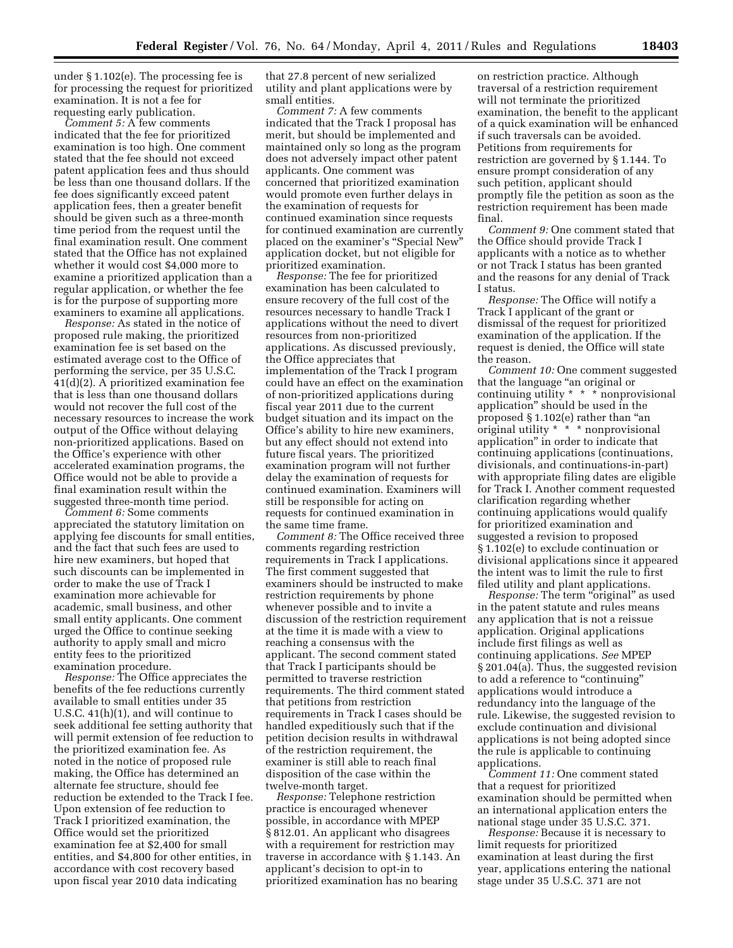under § 1.102(e). The processing fee is for processing the request for prioritized examination. It is not a fee for requesting early publication.

*Comment 5:* A few comments indicated that the fee for prioritized examination is too high. One comment stated that the fee should not exceed patent application fees and thus should be less than one thousand dollars. If the fee does significantly exceed patent application fees, then a greater benefit should be given such as a three-month time period from the request until the final examination result. One comment stated that the Office has not explained whether it would cost \$4,000 more to examine a prioritized application than a regular application, or whether the fee is for the purpose of supporting more examiners to examine all applications.

*Response:* As stated in the notice of proposed rule making, the prioritized examination fee is set based on the estimated average cost to the Office of performing the service, per 35 U.S.C. 41(d)(2). A prioritized examination fee that is less than one thousand dollars would not recover the full cost of the necessary resources to increase the work output of the Office without delaying non-prioritized applications. Based on the Office's experience with other accelerated examination programs, the Office would not be able to provide a final examination result within the suggested three-month time period.

*Comment 6:* Some comments appreciated the statutory limitation on applying fee discounts for small entities, and the fact that such fees are used to hire new examiners, but hoped that such discounts can be implemented in order to make the use of Track I examination more achievable for academic, small business, and other small entity applicants. One comment urged the Office to continue seeking authority to apply small and micro entity fees to the prioritized examination procedure.

*Response:* The Office appreciates the benefits of the fee reductions currently available to small entities under 35 U.S.C. 41(h)(1), and will continue to seek additional fee setting authority that will permit extension of fee reduction to the prioritized examination fee. As noted in the notice of proposed rule making, the Office has determined an alternate fee structure, should fee reduction be extended to the Track I fee. Upon extension of fee reduction to Track I prioritized examination, the Office would set the prioritized examination fee at \$2,400 for small entities, and \$4,800 for other entities, in accordance with cost recovery based upon fiscal year 2010 data indicating

that 27.8 percent of new serialized utility and plant applications were by small entities.

*Comment 7:* A few comments indicated that the Track I proposal has merit, but should be implemented and maintained only so long as the program does not adversely impact other patent applicants. One comment was concerned that prioritized examination would promote even further delays in the examination of requests for continued examination since requests for continued examination are currently placed on the examiner's ''Special New'' application docket, but not eligible for prioritized examination.

*Response:* The fee for prioritized examination has been calculated to ensure recovery of the full cost of the resources necessary to handle Track I applications without the need to divert resources from non-prioritized applications. As discussed previously, the Office appreciates that implementation of the Track I program could have an effect on the examination of non-prioritized applications during fiscal year 2011 due to the current budget situation and its impact on the Office's ability to hire new examiners, but any effect should not extend into future fiscal years. The prioritized examination program will not further delay the examination of requests for continued examination. Examiners will still be responsible for acting on requests for continued examination in the same time frame.

*Comment 8:* The Office received three comments regarding restriction requirements in Track I applications. The first comment suggested that examiners should be instructed to make restriction requirements by phone whenever possible and to invite a discussion of the restriction requirement at the time it is made with a view to reaching a consensus with the applicant. The second comment stated that Track I participants should be permitted to traverse restriction requirements. The third comment stated that petitions from restriction requirements in Track I cases should be handled expeditiously such that if the petition decision results in withdrawal of the restriction requirement, the examiner is still able to reach final disposition of the case within the twelve-month target.

*Response:* Telephone restriction practice is encouraged whenever possible, in accordance with MPEP § 812.01. An applicant who disagrees with a requirement for restriction may traverse in accordance with § 1.143. An applicant's decision to opt-in to prioritized examination has no bearing

on restriction practice. Although traversal of a restriction requirement will not terminate the prioritized examination, the benefit to the applicant of a quick examination will be enhanced if such traversals can be avoided. Petitions from requirements for restriction are governed by § 1.144. To ensure prompt consideration of any such petition, applicant should promptly file the petition as soon as the restriction requirement has been made final.

*Comment 9:* One comment stated that the Office should provide Track I applicants with a notice as to whether or not Track I status has been granted and the reasons for any denial of Track I status.

*Response:* The Office will notify a Track I applicant of the grant or dismissal of the request for prioritized examination of the application. If the request is denied, the Office will state the reason.

*Comment 10:* One comment suggested that the language ''an original or continuing utility \* \* \* nonprovisional application'' should be used in the proposed § 1.102(e) rather than ''an original utility \* \* \* nonprovisional application'' in order to indicate that continuing applications (continuations, divisionals, and continuations-in-part) with appropriate filing dates are eligible for Track I. Another comment requested clarification regarding whether continuing applications would qualify for prioritized examination and suggested a revision to proposed § 1.102(e) to exclude continuation or divisional applications since it appeared the intent was to limit the rule to first filed utility and plant applications.

*Response:* The term "original" as used in the patent statute and rules means any application that is not a reissue application. Original applications include first filings as well as continuing applications. *See* MPEP § 201.04(a). Thus, the suggested revision to add a reference to "continuing" applications would introduce a redundancy into the language of the rule. Likewise, the suggested revision to exclude continuation and divisional applications is not being adopted since the rule is applicable to continuing applications.

*Comment 11:* One comment stated that a request for prioritized examination should be permitted when an international application enters the national stage under 35 U.S.C. 371.

*Response:* Because it is necessary to limit requests for prioritized examination at least during the first year, applications entering the national stage under 35 U.S.C. 371 are not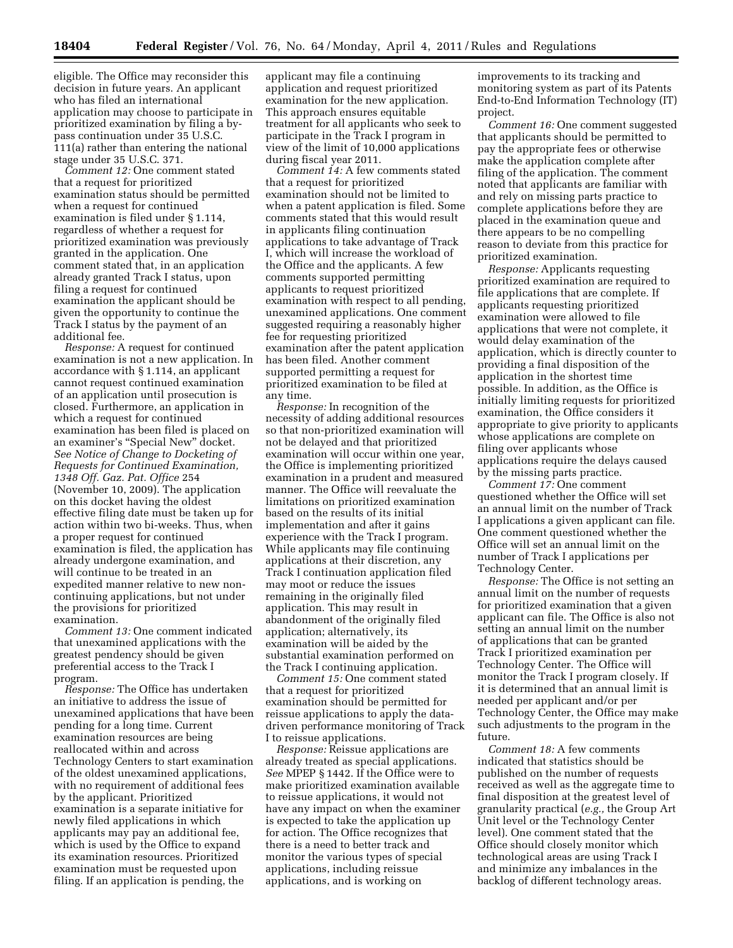eligible. The Office may reconsider this decision in future years. An applicant who has filed an international application may choose to participate in prioritized examination by filing a bypass continuation under 35 U.S.C. 111(a) rather than entering the national stage under 35 U.S.C. 371.

*Comment 12:* One comment stated that a request for prioritized examination status should be permitted when a request for continued examination is filed under § 1.114, regardless of whether a request for prioritized examination was previously granted in the application. One comment stated that, in an application already granted Track I status, upon filing a request for continued examination the applicant should be given the opportunity to continue the Track I status by the payment of an additional fee.

*Response:* A request for continued examination is not a new application. In accordance with § 1.114, an applicant cannot request continued examination of an application until prosecution is closed. Furthermore, an application in which a request for continued examination has been filed is placed on an examiner's ''Special New'' docket. *See Notice of Change to Docketing of Requests for Continued Examination, 1348 Off. Gaz. Pat. Office* 254 (November 10, 2009). The application on this docket having the oldest effective filing date must be taken up for action within two bi-weeks. Thus, when a proper request for continued examination is filed, the application has already undergone examination, and will continue to be treated in an expedited manner relative to new noncontinuing applications, but not under the provisions for prioritized examination.

*Comment 13:* One comment indicated that unexamined applications with the greatest pendency should be given preferential access to the Track I program.

*Response:* The Office has undertaken an initiative to address the issue of unexamined applications that have been pending for a long time. Current examination resources are being reallocated within and across Technology Centers to start examination of the oldest unexamined applications, with no requirement of additional fees by the applicant. Prioritized examination is a separate initiative for newly filed applications in which applicants may pay an additional fee, which is used by the Office to expand its examination resources. Prioritized examination must be requested upon filing. If an application is pending, the

applicant may file a continuing application and request prioritized examination for the new application. This approach ensures equitable treatment for all applicants who seek to participate in the Track I program in view of the limit of 10,000 applications during fiscal year 2011.

*Comment 14:* A few comments stated that a request for prioritized examination should not be limited to when a patent application is filed. Some comments stated that this would result in applicants filing continuation applications to take advantage of Track I, which will increase the workload of the Office and the applicants. A few comments supported permitting applicants to request prioritized examination with respect to all pending, unexamined applications. One comment suggested requiring a reasonably higher fee for requesting prioritized examination after the patent application has been filed. Another comment supported permitting a request for prioritized examination to be filed at any time.

*Response:* In recognition of the necessity of adding additional resources so that non-prioritized examination will not be delayed and that prioritized examination will occur within one year, the Office is implementing prioritized examination in a prudent and measured manner. The Office will reevaluate the limitations on prioritized examination based on the results of its initial implementation and after it gains experience with the Track I program. While applicants may file continuing applications at their discretion, any Track I continuation application filed may moot or reduce the issues remaining in the originally filed application. This may result in abandonment of the originally filed application; alternatively, its examination will be aided by the substantial examination performed on the Track I continuing application.

*Comment 15:* One comment stated that a request for prioritized examination should be permitted for reissue applications to apply the datadriven performance monitoring of Track I to reissue applications.

*Response:* Reissue applications are already treated as special applications. *See* MPEP § 1442. If the Office were to make prioritized examination available to reissue applications, it would not have any impact on when the examiner is expected to take the application up for action. The Office recognizes that there is a need to better track and monitor the various types of special applications, including reissue applications, and is working on

improvements to its tracking and monitoring system as part of its Patents End-to-End Information Technology (IT) project.

*Comment 16:* One comment suggested that applicants should be permitted to pay the appropriate fees or otherwise make the application complete after filing of the application. The comment noted that applicants are familiar with and rely on missing parts practice to complete applications before they are placed in the examination queue and there appears to be no compelling reason to deviate from this practice for prioritized examination.

*Response:* Applicants requesting prioritized examination are required to file applications that are complete. If applicants requesting prioritized examination were allowed to file applications that were not complete, it would delay examination of the application, which is directly counter to providing a final disposition of the application in the shortest time possible. In addition, as the Office is initially limiting requests for prioritized examination, the Office considers it appropriate to give priority to applicants whose applications are complete on filing over applicants whose applications require the delays caused by the missing parts practice.

*Comment 17:* One comment questioned whether the Office will set an annual limit on the number of Track I applications a given applicant can file. One comment questioned whether the Office will set an annual limit on the number of Track I applications per Technology Center.

*Response:* The Office is not setting an annual limit on the number of requests for prioritized examination that a given applicant can file. The Office is also not setting an annual limit on the number of applications that can be granted Track I prioritized examination per Technology Center. The Office will monitor the Track I program closely. If it is determined that an annual limit is needed per applicant and/or per Technology Center, the Office may make such adjustments to the program in the future.

*Comment 18:* A few comments indicated that statistics should be published on the number of requests received as well as the aggregate time to final disposition at the greatest level of granularity practical (*e.g.,* the Group Art Unit level or the Technology Center level). One comment stated that the Office should closely monitor which technological areas are using Track I and minimize any imbalances in the backlog of different technology areas.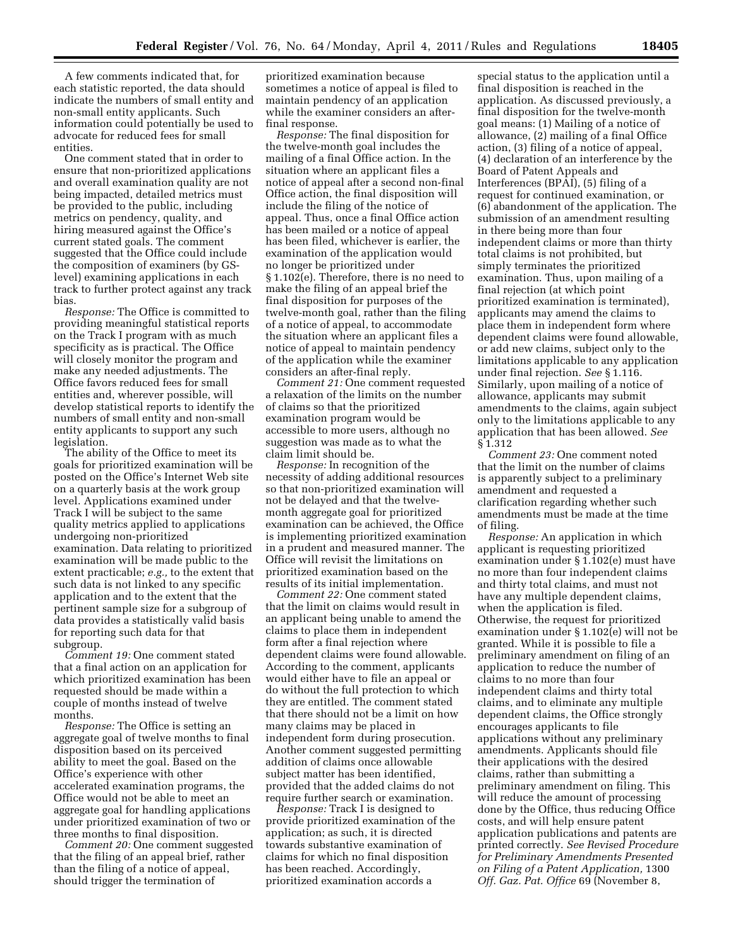A few comments indicated that, for each statistic reported, the data should indicate the numbers of small entity and non-small entity applicants. Such information could potentially be used to advocate for reduced fees for small entities.

One comment stated that in order to ensure that non-prioritized applications and overall examination quality are not being impacted, detailed metrics must be provided to the public, including metrics on pendency, quality, and hiring measured against the Office's current stated goals. The comment suggested that the Office could include the composition of examiners (by GSlevel) examining applications in each track to further protect against any track bias.

*Response:* The Office is committed to providing meaningful statistical reports on the Track I program with as much specificity as is practical. The Office will closely monitor the program and make any needed adjustments. The Office favors reduced fees for small entities and, wherever possible, will develop statistical reports to identify the numbers of small entity and non-small entity applicants to support any such legislation.

The ability of the Office to meet its goals for prioritized examination will be posted on the Office's Internet Web site on a quarterly basis at the work group level. Applications examined under Track I will be subject to the same quality metrics applied to applications undergoing non-prioritized examination. Data relating to prioritized examination will be made public to the extent practicable; *e.g.,* to the extent that such data is not linked to any specific application and to the extent that the pertinent sample size for a subgroup of data provides a statistically valid basis for reporting such data for that subgroup.

*Comment 19:* One comment stated that a final action on an application for which prioritized examination has been requested should be made within a couple of months instead of twelve months.

*Response:* The Office is setting an aggregate goal of twelve months to final disposition based on its perceived ability to meet the goal. Based on the Office's experience with other accelerated examination programs, the Office would not be able to meet an aggregate goal for handling applications under prioritized examination of two or three months to final disposition.

*Comment 20:* One comment suggested that the filing of an appeal brief, rather than the filing of a notice of appeal, should trigger the termination of

prioritized examination because sometimes a notice of appeal is filed to maintain pendency of an application while the examiner considers an afterfinal response.

*Response:* The final disposition for the twelve-month goal includes the mailing of a final Office action. In the situation where an applicant files a notice of appeal after a second non-final Office action, the final disposition will include the filing of the notice of appeal. Thus, once a final Office action has been mailed or a notice of appeal has been filed, whichever is earlier, the examination of the application would no longer be prioritized under § 1.102(e). Therefore, there is no need to make the filing of an appeal brief the final disposition for purposes of the twelve-month goal, rather than the filing of a notice of appeal, to accommodate the situation where an applicant files a notice of appeal to maintain pendency of the application while the examiner considers an after-final reply.

*Comment 21:* One comment requested a relaxation of the limits on the number of claims so that the prioritized examination program would be accessible to more users, although no suggestion was made as to what the claim limit should be.

*Response:* In recognition of the necessity of adding additional resources so that non-prioritized examination will not be delayed and that the twelvemonth aggregate goal for prioritized examination can be achieved, the Office is implementing prioritized examination in a prudent and measured manner. The Office will revisit the limitations on prioritized examination based on the results of its initial implementation.

*Comment 22:* One comment stated that the limit on claims would result in an applicant being unable to amend the claims to place them in independent form after a final rejection where dependent claims were found allowable. According to the comment, applicants would either have to file an appeal or do without the full protection to which they are entitled. The comment stated that there should not be a limit on how many claims may be placed in independent form during prosecution. Another comment suggested permitting addition of claims once allowable subject matter has been identified, provided that the added claims do not require further search or examination.

*Response:* Track I is designed to provide prioritized examination of the application; as such, it is directed towards substantive examination of claims for which no final disposition has been reached. Accordingly, prioritized examination accords a

special status to the application until a final disposition is reached in the application. As discussed previously, a final disposition for the twelve-month goal means: (1) Mailing of a notice of allowance, (2) mailing of a final Office action, (3) filing of a notice of appeal, (4) declaration of an interference by the Board of Patent Appeals and Interferences ( $BPAI$ ), (5) filing of a request for continued examination, or (6) abandonment of the application. The submission of an amendment resulting in there being more than four independent claims or more than thirty total claims is not prohibited, but simply terminates the prioritized examination. Thus, upon mailing of a final rejection (at which point prioritized examination is terminated), applicants may amend the claims to place them in independent form where dependent claims were found allowable, or add new claims, subject only to the limitations applicable to any application under final rejection. *See* § 1.116. Similarly, upon mailing of a notice of allowance, applicants may submit amendments to the claims, again subject only to the limitations applicable to any application that has been allowed. *See*  § 1.312

*Comment 23:* One comment noted that the limit on the number of claims is apparently subject to a preliminary amendment and requested a clarification regarding whether such amendments must be made at the time of filing.

*Response:* An application in which applicant is requesting prioritized examination under § 1.102(e) must have no more than four independent claims and thirty total claims, and must not have any multiple dependent claims, when the application is filed. Otherwise, the request for prioritized examination under § 1.102(e) will not be granted. While it is possible to file a preliminary amendment on filing of an application to reduce the number of claims to no more than four independent claims and thirty total claims, and to eliminate any multiple dependent claims, the Office strongly encourages applicants to file applications without any preliminary amendments. Applicants should file their applications with the desired claims, rather than submitting a preliminary amendment on filing. This will reduce the amount of processing done by the Office, thus reducing Office costs, and will help ensure patent application publications and patents are printed correctly. *See Revised Procedure for Preliminary Amendments Presented on Filing of a Patent Application,* 1300 *Off. Gaz. Pat. Office* 69 (November 8,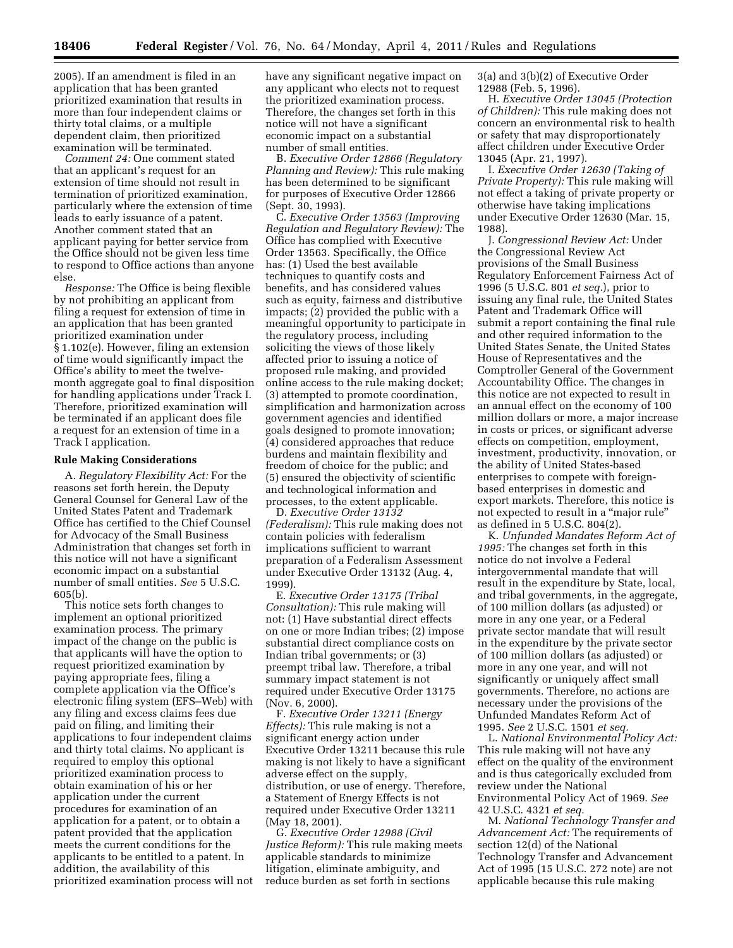2005). If an amendment is filed in an application that has been granted prioritized examination that results in more than four independent claims or thirty total claims, or a multiple dependent claim, then prioritized examination will be terminated.

*Comment 24:* One comment stated that an applicant's request for an extension of time should not result in termination of prioritized examination, particularly where the extension of time leads to early issuance of a patent. Another comment stated that an applicant paying for better service from the Office should not be given less time to respond to Office actions than anyone else.

*Response:* The Office is being flexible by not prohibiting an applicant from filing a request for extension of time in an application that has been granted prioritized examination under § 1.102(e). However, filing an extension of time would significantly impact the Office's ability to meet the twelvemonth aggregate goal to final disposition for handling applications under Track I. Therefore, prioritized examination will be terminated if an applicant does file a request for an extension of time in a Track I application.

### **Rule Making Considerations**

A. *Regulatory Flexibility Act:* For the reasons set forth herein, the Deputy General Counsel for General Law of the United States Patent and Trademark Office has certified to the Chief Counsel for Advocacy of the Small Business Administration that changes set forth in this notice will not have a significant economic impact on a substantial number of small entities. *See* 5 U.S.C. 605(b).

This notice sets forth changes to implement an optional prioritized examination process. The primary impact of the change on the public is that applicants will have the option to request prioritized examination by paying appropriate fees, filing a complete application via the Office's electronic filing system (EFS–Web) with any filing and excess claims fees due paid on filing, and limiting their applications to four independent claims and thirty total claims. No applicant is required to employ this optional prioritized examination process to obtain examination of his or her application under the current procedures for examination of an application for a patent, or to obtain a patent provided that the application meets the current conditions for the applicants to be entitled to a patent. In addition, the availability of this prioritized examination process will not have any significant negative impact on any applicant who elects not to request the prioritized examination process. Therefore, the changes set forth in this notice will not have a significant economic impact on a substantial number of small entities.

B. *Executive Order 12866 (Regulatory Planning and Review):* This rule making has been determined to be significant for purposes of Executive Order 12866 (Sept. 30, 1993).

C. *Executive Order 13563 (Improving Regulation and Regulatory Review):* The Office has complied with Executive Order 13563. Specifically, the Office has: (1) Used the best available techniques to quantify costs and benefits, and has considered values such as equity, fairness and distributive impacts; (2) provided the public with a meaningful opportunity to participate in the regulatory process, including soliciting the views of those likely affected prior to issuing a notice of proposed rule making, and provided online access to the rule making docket; (3) attempted to promote coordination, simplification and harmonization across government agencies and identified goals designed to promote innovation; (4) considered approaches that reduce burdens and maintain flexibility and freedom of choice for the public; and (5) ensured the objectivity of scientific and technological information and processes, to the extent applicable.

D. *Executive Order 13132 (Federalism):* This rule making does not contain policies with federalism implications sufficient to warrant preparation of a Federalism Assessment under Executive Order 13132 (Aug. 4, 1999).

E. *Executive Order 13175 (Tribal Consultation):* This rule making will not: (1) Have substantial direct effects on one or more Indian tribes; (2) impose substantial direct compliance costs on Indian tribal governments; or (3) preempt tribal law. Therefore, a tribal summary impact statement is not required under Executive Order 13175 (Nov. 6, 2000).

F. *Executive Order 13211 (Energy Effects):* This rule making is not a significant energy action under Executive Order 13211 because this rule making is not likely to have a significant adverse effect on the supply, distribution, or use of energy. Therefore, a Statement of Energy Effects is not required under Executive Order 13211 (May 18, 2001).

G. *Executive Order 12988 (Civil Justice Reform):* This rule making meets applicable standards to minimize litigation, eliminate ambiguity, and reduce burden as set forth in sections

3(a) and 3(b)(2) of Executive Order 12988 (Feb. 5, 1996).

H. *Executive Order 13045 (Protection of Children):* This rule making does not concern an environmental risk to health or safety that may disproportionately affect children under Executive Order 13045 (Apr. 21, 1997).

I. *Executive Order 12630 (Taking of Private Property):* This rule making will not effect a taking of private property or otherwise have taking implications under Executive Order 12630 (Mar. 15, 1988).

J. *Congressional Review Act:* Under the Congressional Review Act provisions of the Small Business Regulatory Enforcement Fairness Act of 1996 (5 U.S.C. 801 *et seq.*), prior to issuing any final rule, the United States Patent and Trademark Office will submit a report containing the final rule and other required information to the United States Senate, the United States House of Representatives and the Comptroller General of the Government Accountability Office. The changes in this notice are not expected to result in an annual effect on the economy of 100 million dollars or more, a major increase in costs or prices, or significant adverse effects on competition, employment, investment, productivity, innovation, or the ability of United States-based enterprises to compete with foreignbased enterprises in domestic and export markets. Therefore, this notice is not expected to result in a ''major rule'' as defined in 5 U.S.C. 804(2).

K. *Unfunded Mandates Reform Act of 1995:* The changes set forth in this notice do not involve a Federal intergovernmental mandate that will result in the expenditure by State, local, and tribal governments, in the aggregate, of 100 million dollars (as adjusted) or more in any one year, or a Federal private sector mandate that will result in the expenditure by the private sector of 100 million dollars (as adjusted) or more in any one year, and will not significantly or uniquely affect small governments. Therefore, no actions are necessary under the provisions of the Unfunded Mandates Reform Act of 1995. *See* 2 U.S.C. 1501 *et seq.* 

L. *National Environmental Policy Act:*  This rule making will not have any effect on the quality of the environment and is thus categorically excluded from review under the National Environmental Policy Act of 1969. *See*  42 U.S.C. 4321 *et seq.* 

M. *National Technology Transfer and Advancement Act:* The requirements of section 12(d) of the National Technology Transfer and Advancement Act of 1995 (15 U.S.C. 272 note) are not applicable because this rule making